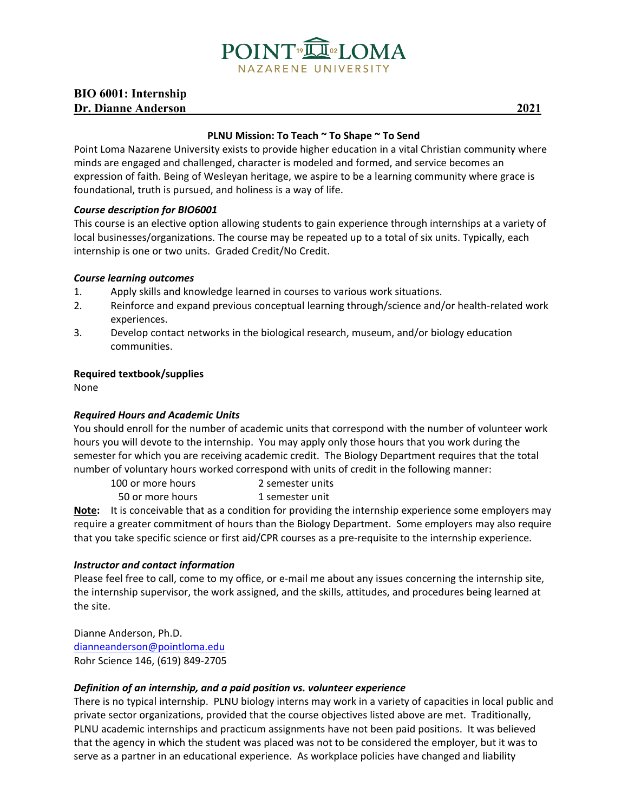

### **BIO 6001: Internship Dr. Dianne Anderson \_\_\_\_ 2021**

### **PLNU Mission: To Teach ~ To Shape ~ To Send**

Point Loma Nazarene University exists to provide higher education in a vital Christian community where minds are engaged and challenged, character is modeled and formed, and service becomes an expression of faith. Being of Wesleyan heritage, we aspire to be a learning community where grace is foundational, truth is pursued, and holiness is a way of life.

### *Course description for BIO6001*

This course is an elective option allowing students to gain experience through internships at a variety of local businesses/organizations. The course may be repeated up to a total of six units. Typically, each internship is one or two units. Graded Credit/No Credit.

### *Course learning outcomes*

- 1. Apply skills and knowledge learned in courses to various work situations.
- 2. Reinforce and expand previous conceptual learning through/science and/or health-related work experiences.
- 3. Develop contact networks in the biological research, museum, and/or biology education communities.

### **Required textbook/supplies**

None

### *Required Hours and Academic Units*

You should enroll for the number of academic units that correspond with the number of volunteer work hours you will devote to the internship. You may apply only those hours that you work during the semester for which you are receiving academic credit. The Biology Department requires that the total number of voluntary hours worked correspond with units of credit in the following manner:

100 or more hours 2 semester units

50 or more hours 1 semester unit

**Note:** It is conceivable that as a condition for providing the internship experience some employers may require a greater commitment of hours than the Biology Department. Some employers may also require that you take specific science or first aid/CPR courses as a pre-requisite to the internship experience.

### *Instructor and contact information*

Please feel free to call, come to my office, or e-mail me about any issues concerning the internship site, the internship supervisor, the work assigned, and the skills, attitudes, and procedures being learned at the site.

Dianne Anderson, Ph.D. [dianneanderson@pointloma.edu](mailto:dianneanderson@pointloma.edu) Rohr Science 146, (619) 849-2705

### *Definition of an internship, and a paid position vs. volunteer experience*

There is no typical internship. PLNU biology interns may work in a variety of capacities in local public and private sector organizations, provided that the course objectives listed above are met. Traditionally, PLNU academic internships and practicum assignments have not been paid positions. It was believed that the agency in which the student was placed was not to be considered the employer, but it was to serve as a partner in an educational experience. As workplace policies have changed and liability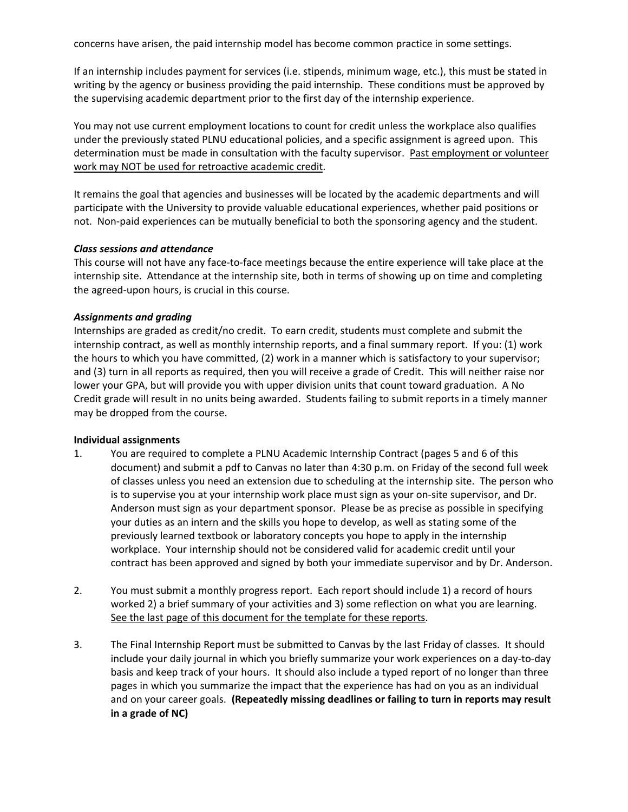concerns have arisen, the paid internship model has become common practice in some settings.

If an internship includes payment for services (i.e. stipends, minimum wage, etc.), this must be stated in writing by the agency or business providing the paid internship. These conditions must be approved by the supervising academic department prior to the first day of the internship experience.

You may not use current employment locations to count for credit unless the workplace also qualifies under the previously stated PLNU educational policies, and a specific assignment is agreed upon. This determination must be made in consultation with the faculty supervisor. Past employment or volunteer work may NOT be used for retroactive academic credit.

It remains the goal that agencies and businesses will be located by the academic departments and will participate with the University to provide valuable educational experiences, whether paid positions or not. Non-paid experiences can be mutually beneficial to both the sponsoring agency and the student.

#### *Class sessions and attendance*

This course will not have any face-to-face meetings because the entire experience will take place at the internship site. Attendance at the internship site, both in terms of showing up on time and completing the agreed-upon hours, is crucial in this course.

#### *Assignments and grading*

Internships are graded as credit/no credit. To earn credit, students must complete and submit the internship contract, as well as monthly internship reports, and a final summary report. If you: (1) work the hours to which you have committed, (2) work in a manner which is satisfactory to your supervisor; and (3) turn in all reports as required, then you will receive a grade of Credit. This will neither raise nor lower your GPA, but will provide you with upper division units that count toward graduation. A No Credit grade will result in no units being awarded. Students failing to submit reports in a timely manner may be dropped from the course.

#### **Individual assignments**

- 1. You are required to complete a PLNU Academic Internship Contract (pages 5 and 6 of this document) and submit a pdf to Canvas no later than 4:30 p.m. on Friday of the second full week of classes unless you need an extension due to scheduling at the internship site. The person who is to supervise you at your internship work place must sign as your on-site supervisor, and Dr. Anderson must sign as your department sponsor. Please be as precise as possible in specifying your duties as an intern and the skills you hope to develop, as well as stating some of the previously learned textbook or laboratory concepts you hope to apply in the internship workplace. Your internship should not be considered valid for academic credit until your contract has been approved and signed by both your immediate supervisor and by Dr. Anderson.
- 2. You must submit a monthly progress report. Each report should include 1) a record of hours worked 2) a brief summary of your activities and 3) some reflection on what you are learning. See the last page of this document for the template for these reports.
- 3. The Final Internship Report must be submitted to Canvas by the last Friday of classes. It should include your daily journal in which you briefly summarize your work experiences on a day-to-day basis and keep track of your hours. It should also include a typed report of no longer than three pages in which you summarize the impact that the experience has had on you as an individual and on your career goals. **(Repeatedly missing deadlines or failing to turn in reports may result in a grade of NC)**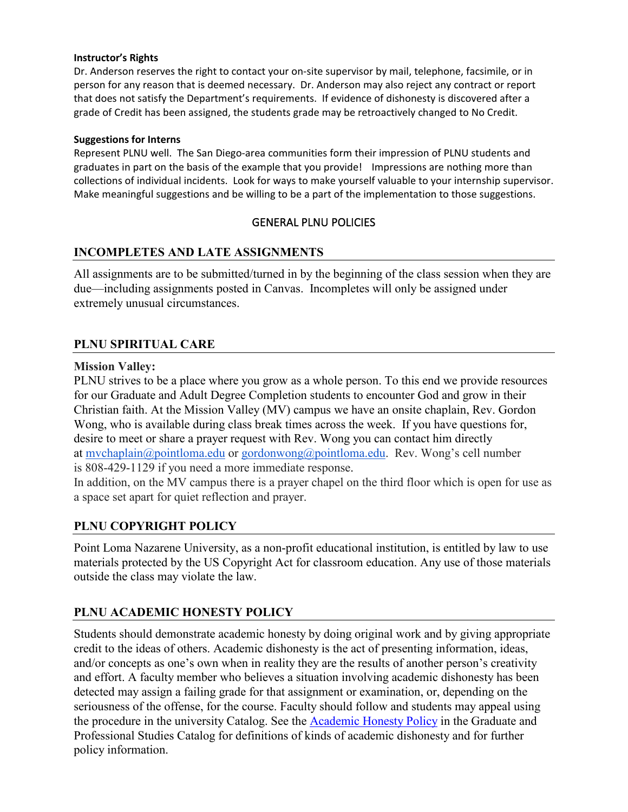### **Instructor's Rights**

Dr. Anderson reserves the right to contact your on-site supervisor by mail, telephone, facsimile, or in person for any reason that is deemed necessary. Dr. Anderson may also reject any contract or report that does not satisfy the Department's requirements. If evidence of dishonesty is discovered after a grade of Credit has been assigned, the students grade may be retroactively changed to No Credit.

### **Suggestions for Interns**

Represent PLNU well. The San Diego-area communities form their impression of PLNU students and graduates in part on the basis of the example that you provide! Impressions are nothing more than collections of individual incidents. Look for ways to make yourself valuable to your internship supervisor. Make meaningful suggestions and be willing to be a part of the implementation to those suggestions.

## GENERAL PLNU POLICIES

## **INCOMPLETES AND LATE ASSIGNMENTS**

All assignments are to be submitted/turned in by the beginning of the class session when they are due—including assignments posted in Canvas. Incompletes will only be assigned under extremely unusual circumstances.

## **PLNU SPIRITUAL CARE**

### **Mission Valley:**

PLNU strives to be a place where you grow as a whole person. To this end we provide resources for our Graduate and Adult Degree Completion students to encounter God and grow in their Christian faith. At the Mission Valley (MV) campus we have an onsite chaplain, Rev. Gordon Wong, who is available during class break times across the week. If you have questions for, desire to meet or share a prayer request with Rev. Wong you can contact him directly at [mvchaplain@pointloma.edu](mailto:mvchaplain@pointloma.edu) or [gordonwong@pointloma.edu.](mailto:gordonwong@pointloma.edu) Rev. Wong's cell number is 808-429-1129 if you need a more immediate response.

In addition, on the MV campus there is a prayer chapel on the third floor which is open for use as a space set apart for quiet reflection and prayer.

## **PLNU COPYRIGHT POLICY**

Point Loma Nazarene University, as a non-profit educational institution, is entitled by law to use materials protected by the US Copyright Act for classroom education. Any use of those materials outside the class may violate the law.

# **PLNU ACADEMIC HONESTY POLICY**

Students should demonstrate academic honesty by doing original work and by giving appropriate credit to the ideas of others. Academic dishonesty is the act of presenting information, ideas, and/or concepts as one's own when in reality they are the results of another person's creativity and effort. A faculty member who believes a situation involving academic dishonesty has been detected may assign a failing grade for that assignment or examination, or, depending on the seriousness of the offense, for the course. Faculty should follow and students may appeal using the procedure in the university Catalog. See the **Academic Honesty Policy** in the Graduate and Professional Studies Catalog for definitions of kinds of academic dishonesty and for further policy information.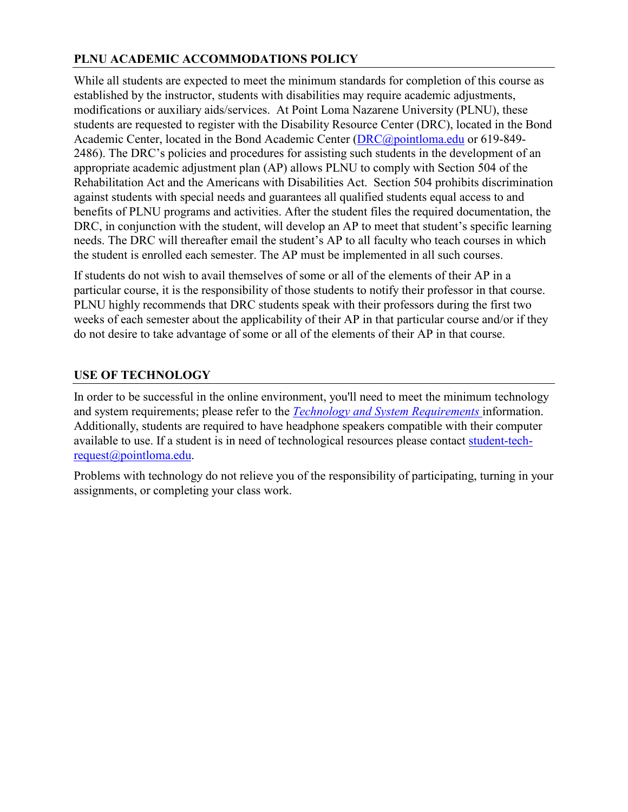# **PLNU ACADEMIC ACCOMMODATIONS POLICY**

While all students are expected to meet the minimum standards for completion of this course as established by the instructor, students with disabilities may require academic adjustments, modifications or auxiliary aids/services. At Point Loma Nazarene University (PLNU), these students are requested to register with the Disability Resource Center (DRC), located in the Bond Academic Center, located in the Bond Academic Center [\(DRC@pointloma.edu](mailto:DRC@pointloma.edu) or 619-849- 2486). The DRC's policies and procedures for assisting such students in the development of an appropriate academic adjustment plan (AP) allows PLNU to comply with Section 504 of the Rehabilitation Act and the Americans with Disabilities Act. Section 504 prohibits discrimination against students with special needs and guarantees all qualified students equal access to and benefits of PLNU programs and activities. After the student files the required documentation, the DRC, in conjunction with the student, will develop an AP to meet that student's specific learning needs. The DRC will thereafter email the student's AP to all faculty who teach courses in which the student is enrolled each semester. The AP must be implemented in all such courses.

If students do not wish to avail themselves of some or all of the elements of their AP in a particular course, it is the responsibility of those students to notify their professor in that course. PLNU highly recommends that DRC students speak with their professors during the first two weeks of each semester about the applicability of their AP in that particular course and/or if they do not desire to take advantage of some or all of the elements of their AP in that course.

## **USE OF TECHNOLOGY**

In order to be successful in the online environment, you'll need to meet the minimum technology and system requirements; please refer to the *[Technology and System Requirements](https://help.pointloma.edu/TDClient/1808/Portal/KB/ArticleDet?ID=108349)* information. Additionally, students are required to have headphone speakers compatible with their computer available to use. If a student is in need of technological resources please contact [student-tech](mailto:student-tech-request@pointloma.edu)[request@pointloma.edu.](mailto:student-tech-request@pointloma.edu)

Problems with technology do not relieve you of the responsibility of participating, turning in your assignments, or completing your class work.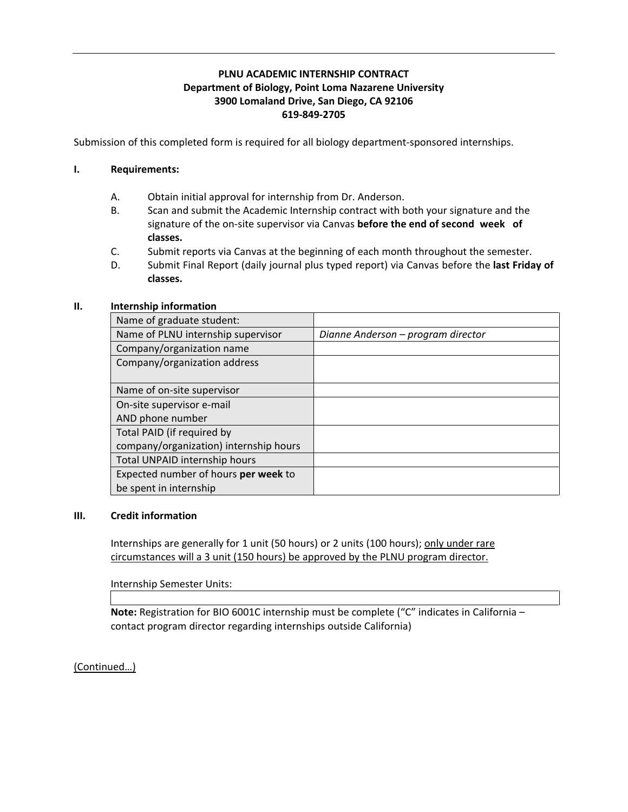### **PLNU ACADEMIC INTERNSHIP CONTRACT Department of Biology, Point Loma Nazarene University 3900 Lomaland Drive, San Diego, CA 92106 619-849-2705**

Submission of this completed form is required for all biology department-sponsored internships.

### **I. Requirements:**

- A. Obtain initial approval for internship from Dr. Anderson.
- B. Scan and submit the Academic Internship contract with both your signature and the signature of the on-site supervisor via Canvas **before the end of second week of classes.**
- C. Submit reports via Canvas at the beginning of each month throughout the semester.
- D. Submit Final Report (daily journal plus typed report) via Canvas before the **last Friday of classes.**

### **II. Internship information**

| Name of graduate student:              |                                    |
|----------------------------------------|------------------------------------|
| Name of PLNU internship supervisor     | Dianne Anderson - program director |
| Company/organization name              |                                    |
| Company/organization address           |                                    |
|                                        |                                    |
| Name of on-site supervisor             |                                    |
| On-site supervisor e-mail              |                                    |
| AND phone number                       |                                    |
| Total PAID (if required by             |                                    |
| company/organization) internship hours |                                    |
| Total UNPAID internship hours          |                                    |
| Expected number of hours per week to   |                                    |
| be spent in internship                 |                                    |

### **III. Credit information**

Internships are generally for 1 unit (50 hours) or 2 units (100 hours); only under rare circumstances will a 3 unit (150 hours) be approved by the PLNU program director.

Internship Semester Units:

**Note:** Registration for BIO 6001C internship must be complete ("C" indicates in California – contact program director regarding internships outside California)

(Continued…)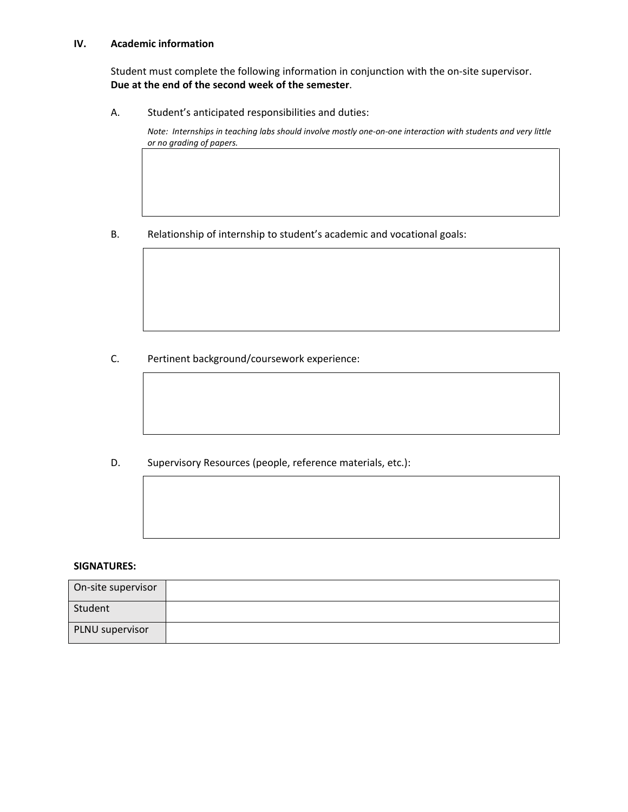#### **IV. Academic information**

Student must complete the following information in conjunction with the on-site supervisor. **Due at the end of the second week of the semester**.

A. Student's anticipated responsibilities and duties:

*Note: Internships in teaching labs should involve mostly one-on-one interaction with students and very little or no grading of papers.* 

B. Relationship of internship to student's academic and vocational goals:

C. Pertinent background/coursework experience:

D. Supervisory Resources (people, reference materials, etc.):

#### **SIGNATURES:**

| On-site supervisor |  |
|--------------------|--|
| Student            |  |
| PLNU supervisor    |  |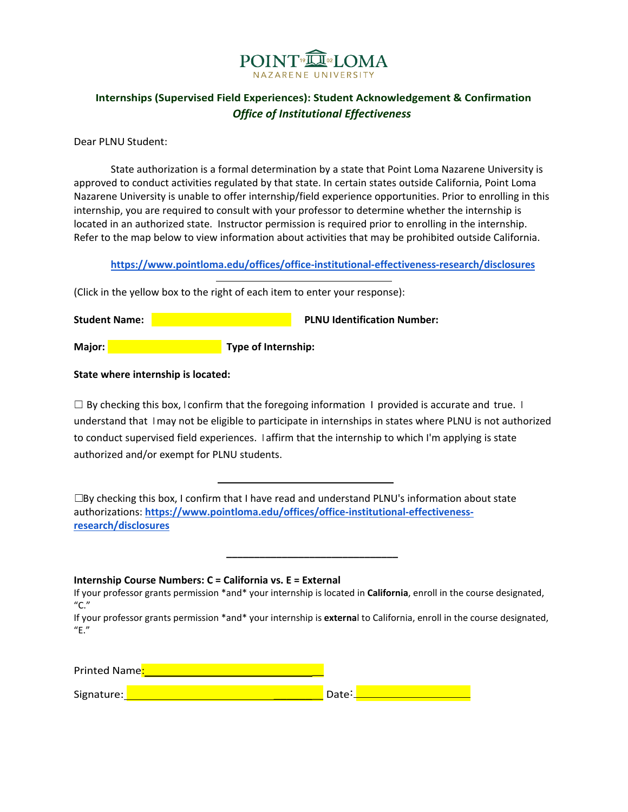

## **Internships (Supervised Field Experiences): Student Acknowledgement & Confirmation** *Office of Institutional Effectiveness*

Dear PLNU Student:

State authorization is a formal determination by a state that Point Loma Nazarene University is approved to conduct activities regulated by that state. In certain states outside California, Point Loma Nazarene University is unable to offer internship/field experience opportunities. Prior to enrolling in this internship, you are required to consult with your professor to determine whether the internship is located in an authorized state. Instructor permission is required prior to enrolling in the internship. Refer to the map below to view information about activities that may be prohibited outside California.

**<https://www.pointloma.edu/offices/office-institutional-effectiveness-research/disclosures>**

(Click in the yellow box to the right of each item to enter your response):

**Student Name: PLNU Identification Number: PLNU Identification Number: Major:** Major: **Type of Internship: Major: Type of Internship:** 

**State where internship is located:** 

 $\Box$  By checking this box, I confirm that the foregoing information I provided is accurate and true. I understand that I may not be eligible to participate in internships in states where PLNU is not authorized to conduct supervised field experiences. I affirm that the internship to which I'm applying is state authorized and/or exempt for PLNU students.

 $\square$ By checking this box, I confirm that I have read and understand PLNU's information about state authorizations: **[https://www.pointloma.edu/offices/office-institutional-effectiveness](https://www.pointloma.edu/offices/office-institutional-effectiveness-research/disclosures)[research/disclosures](https://www.pointloma.edu/offices/office-institutional-effectiveness-research/disclosures)**

**Internship Course Numbers: C = California vs. E = External**

 **\_\_\_\_\_\_\_\_\_\_\_\_\_\_\_\_\_\_\_\_\_\_\_\_\_\_\_\_\_\_\_**

If your professor grants permission \*and\* your internship is located in **California**, enroll in the course designated, "C."

If your professor grants permission \*and\* your internship is **externa**l to California, enroll in the course designated, "E."

Printed Name.

Signature: \_\_\_\_\_\_\_ Date: